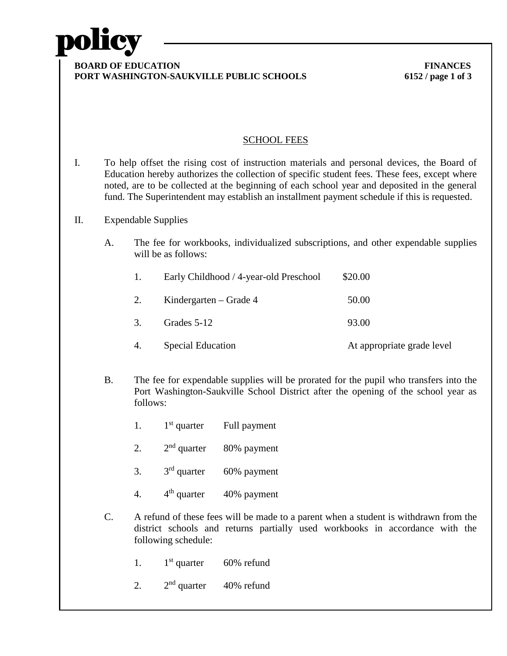

### **BOARD OF EDUCATION FINANCES PORT WASHINGTON-SAUKVILLE PUBLIC SCHOOLS 6152 / page 1 of 3**

## SCHOOL FEES

I. To help offset the rising cost of instruction materials and personal devices, the Board of Education hereby authorizes the collection of specific student fees. These fees, except where noted, are to be collected at the beginning of each school year and deposited in the general fund. The Superintendent may establish an installment payment schedule if this is requested.

## II. Expendable Supplies

A. The fee for workbooks, individualized subscriptions, and other expendable supplies will be as follows:

|  | Early Childhood / 4-year-old Preschool | \$20.00 |
|--|----------------------------------------|---------|
|--|----------------------------------------|---------|

| 2. | Kindergarten – Grade 4 | 50.00 |
|----|------------------------|-------|
| 3. | Grades 5-12            | 93.00 |

- 4. Special Education **At appropriate grade level**
- B. The fee for expendable supplies will be prorated for the pupil who transfers into the Port Washington-Saukville School District after the opening of the school year as follows:
	- 1.  $1<sup>st</sup>$  quarter Full payment
	- 2.  $2<sup>nd</sup>$  quarter  $80\%$  payment
	- 3.  $3^{\text{rd}}$  quarter  $60\%$  payment
	- 4.  $4^{\text{th}}$  quarter  $40\%$  payment
- C. A refund of these fees will be made to a parent when a student is withdrawn from the district schools and returns partially used workbooks in accordance with the following schedule:
	- 1.  $1^{\text{st}}$  quarter 60% refund
	- 2.  $2<sup>nd</sup>$  quarter  $40\%$  refund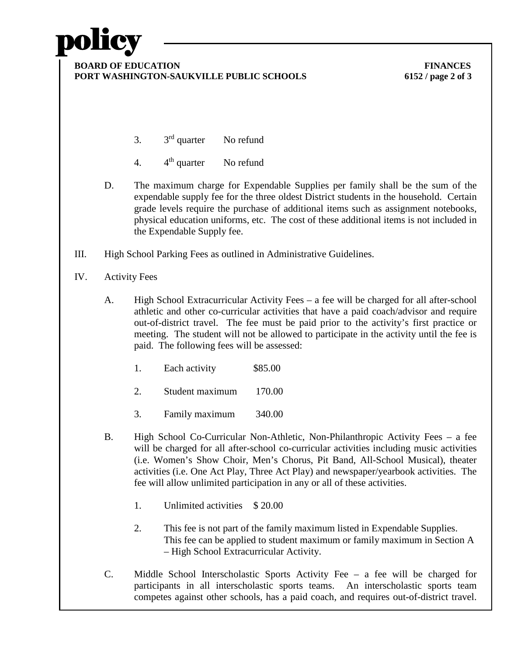## policy

#### **BOARD OF EDUCATION FINANCES PORT WASHINGTON-SAUKVILLE PUBLIC SCHOOLS 6152 / page 2 of 3**

- 3.  $3^{\text{rd}}$  quarter No refund
- 4. 4th quarter No refund
- D. The maximum charge for Expendable Supplies per family shall be the sum of the expendable supply fee for the three oldest District students in the household. Certain grade levels require the purchase of additional items such as assignment notebooks, physical education uniforms, etc. The cost of these additional items is not included in the Expendable Supply fee.
- III. High School Parking Fees as outlined in Administrative Guidelines.
- IV. Activity Fees
	- A. High School Extracurricular Activity Fees a fee will be charged for all after-school athletic and other co-curricular activities that have a paid coach/advisor and require out-of-district travel. The fee must be paid prior to the activity's first practice or meeting. The student will not be allowed to participate in the activity until the fee is paid. The following fees will be assessed:
		- 1. Each activity \$85.00
		- 2. Student maximum 170.00
		- 3. Family maximum 340.00
	- B. High School Co-Curricular Non-Athletic, Non-Philanthropic Activity Fees a fee will be charged for all after-school co-curricular activities including music activities (i.e. Women's Show Choir, Men's Chorus, Pit Band, All-School Musical), theater activities (i.e. One Act Play, Three Act Play) and newspaper/yearbook activities. The fee will allow unlimited participation in any or all of these activities.
		- 1. Unlimited activities \$ 20.00
		- 2. This fee is not part of the family maximum listed in Expendable Supplies. This fee can be applied to student maximum or family maximum in Section A – High School Extracurricular Activity.
	- C. Middle School Interscholastic Sports Activity Fee a fee will be charged for participants in all interscholastic sports teams. An interscholastic sports team competes against other schools, has a paid coach, and requires out-of-district travel.